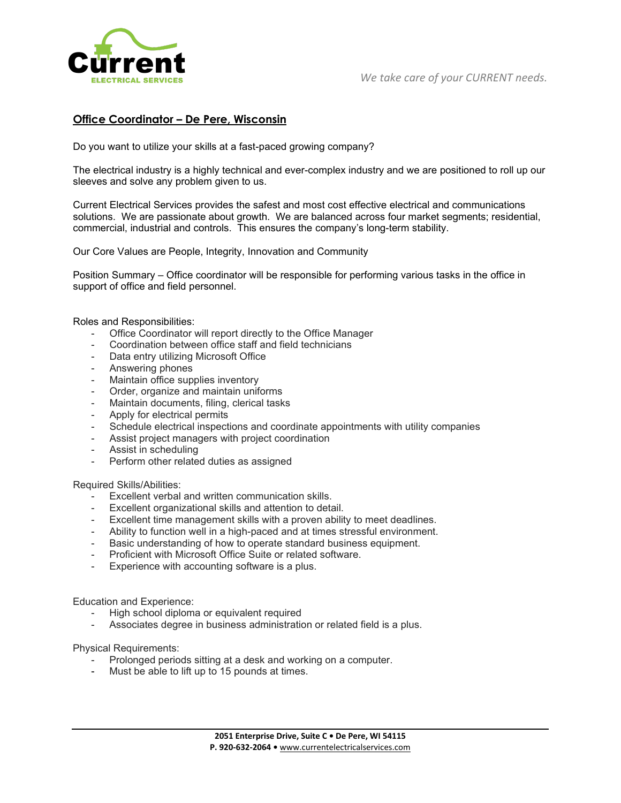

## **Office Coordinator – De Pere, Wisconsin**

Do you want to utilize your skills at a fast-paced growing company?

The electrical industry is a highly technical and ever-complex industry and we are positioned to roll up our sleeves and solve any problem given to us.

Current Electrical Services provides the safest and most cost effective electrical and communications solutions. We are passionate about growth. We are balanced across four market segments; residential, commercial, industrial and controls. This ensures the company's long-term stability.

Our Core Values are People, Integrity, Innovation and Community

Position Summary – Office coordinator will be responsible for performing various tasks in the office in support of office and field personnel.

Roles and Responsibilities:

- Office Coordinator will report directly to the Office Manager
- Coordination between office staff and field technicians
- Data entry utilizing Microsoft Office
- Answering phones
- Maintain office supplies inventory
- Order, organize and maintain uniforms
- Maintain documents, filing, clerical tasks
- Apply for electrical permits
- Schedule electrical inspections and coordinate appointments with utility companies
- Assist project managers with project coordination
- Assist in scheduling
- Perform other related duties as assigned

Required Skills/Abilities:

- Excellent verbal and written communication skills.
- Excellent organizational skills and attention to detail.
- Excellent time management skills with a proven ability to meet deadlines.
- Ability to function well in a high-paced and at times stressful environment.
- Basic understanding of how to operate standard business equipment.
- Proficient with Microsoft Office Suite or related software.
- Experience with accounting software is a plus.

Education and Experience:

- High school diploma or equivalent required
- Associates degree in business administration or related field is a plus.

Physical Requirements:

- Prolonged periods sitting at a desk and working on a computer.
- Must be able to lift up to 15 pounds at times.